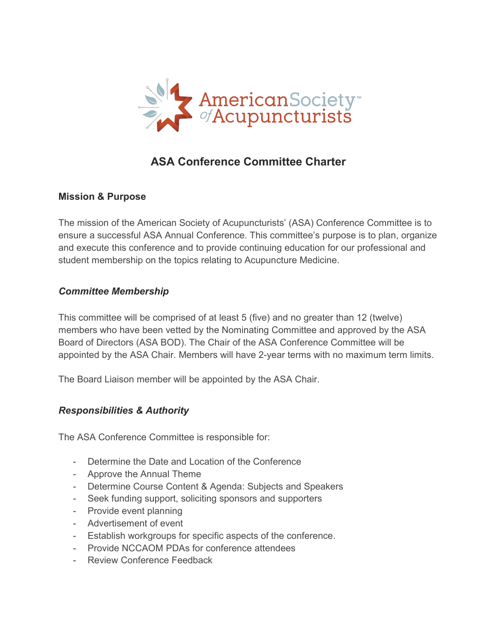

# **ASA Conference Committee Charter**

#### **Mission & Purpose**

The mission of the American Society of Acupuncturists' (ASA) Conference Committee is to ensure a successful ASA Annual Conference. This committee's purpose isto plan, organize and execute this conference and to provide continuing education for our professional and student membership on the topics relating to Acupuncture Medicine.

#### *Committee Membership*

This committee will be comprised of at least 5 (five) and no greater than 12 (twelve) members who have been vetted by the Nominating Committee and approved by the ASA Board of Directors (ASA BOD). The Chair of the ASA Conference Committee will be appointed by the ASA Chair. Members will have 2-year terms with no maximum term limits.

The Board Liaison member will be appointed by the ASA Chair.

## *Responsibilities & Authority*

The ASA Conference Committee is responsible for:

- Determine the Date and Location of the Conference
- Approve the Annual Theme
- Determine Course Content & Agenda: Subjects and Speakers
- Seek funding support, soliciting sponsors and supporters
- Provide event planning
- Advertisement of event
- Establish workgroups for specific aspects of the conference.
- Provide NCCAOM PDAs for conference attendees
- Review Conference Feedback